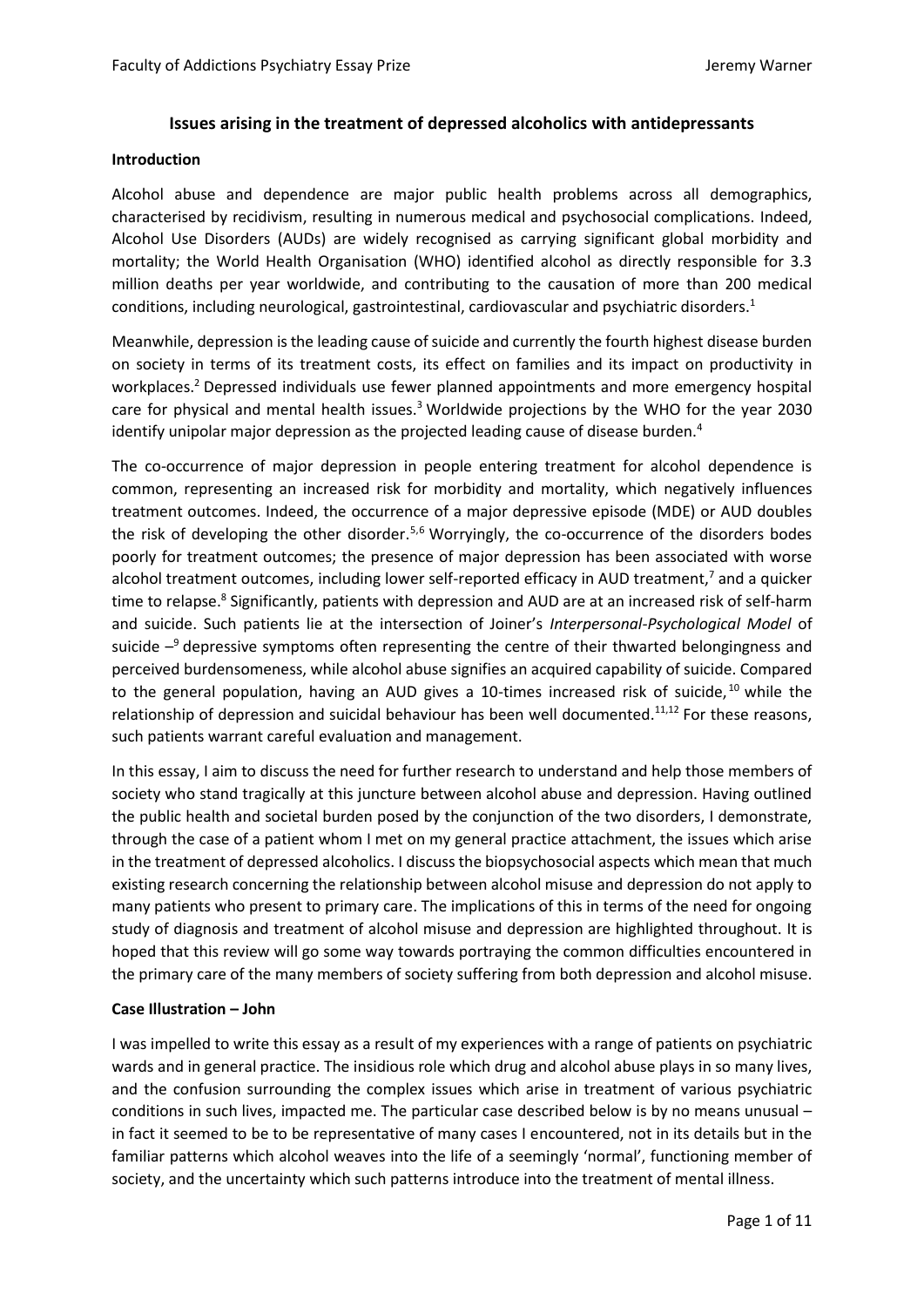# **Issues arising in the treatment of depressed alcoholics with antidepressants**

#### **Introduction**

Alcohol abuse and dependence are major public health problems across all demographics, characterised by recidivism, resulting in numerous medical and psychosocial complications. Indeed, Alcohol Use Disorders (AUDs) are widely recognised as carrying significant global morbidity and mortality; the World Health Organisation (WHO) identified alcohol as directly responsible for 3.3 million deaths per year worldwide, and contributing to the causation of more than 200 medical conditions, including neurological, gastrointestinal, cardiovascular and psychiatric disorders.<sup>1</sup>

Meanwhile, depression is the leading cause of suicide and currently the fourth highest disease burden on society in terms of its treatment costs, its effect on families and its impact on productivity in workplaces.<sup>2</sup> Depressed individuals use fewer planned appointments and more emergency hospital care for physical and mental health issues.<sup>3</sup> Worldwide projections by the WHO for the year 2030 identify unipolar major depression as the projected leading cause of disease burden.<sup>4</sup>

The co-occurrence of major depression in people entering treatment for alcohol dependence is common, representing an increased risk for morbidity and mortality, which negatively influences treatment outcomes. Indeed, the occurrence of a major depressive episode (MDE) or AUD doubles the risk of developing the other disorder.<sup>5,6</sup> Worryingly, the co-occurrence of the disorders bodes poorly for treatment outcomes; the presence of major depression has been associated with worse alcohol treatment outcomes, including lower self-reported efficacy in AUD treatment,<sup>7</sup> and a quicker time to relapse.<sup>8</sup> Significantly, patients with depression and AUD are at an increased risk of self-harm and suicide. Such patients lie at the intersection of Joiner's *Interpersonal-Psychological Model* of suicide  $-9$  depressive symptoms often representing the centre of their thwarted belongingness and perceived burdensomeness, while alcohol abuse signifies an acquired capability of suicide. Compared to the general population, having an AUD gives a 10-times increased risk of suicide,  $10$  while the relationship of depression and suicidal behaviour has been well documented.<sup>11,12</sup> For these reasons, such patients warrant careful evaluation and management.

In this essay, I aim to discuss the need for further research to understand and help those members of society who stand tragically at this juncture between alcohol abuse and depression. Having outlined the public health and societal burden posed by the conjunction of the two disorders, I demonstrate, through the case of a patient whom I met on my general practice attachment, the issues which arise in the treatment of depressed alcoholics. I discuss the biopsychosocial aspects which mean that much existing research concerning the relationship between alcohol misuse and depression do not apply to many patients who present to primary care. The implications of this in terms of the need for ongoing study of diagnosis and treatment of alcohol misuse and depression are highlighted throughout. It is hoped that this review will go some way towards portraying the common difficulties encountered in the primary care of the many members of society suffering from both depression and alcohol misuse.

## **Case Illustration – John**

I was impelled to write this essay as a result of my experiences with a range of patients on psychiatric wards and in general practice. The insidious role which drug and alcohol abuse plays in so many lives, and the confusion surrounding the complex issues which arise in treatment of various psychiatric conditions in such lives, impacted me. The particular case described below is by no means unusual – in fact it seemed to be to be representative of many cases I encountered, not in its details but in the familiar patterns which alcohol weaves into the life of a seemingly 'normal', functioning member of society, and the uncertainty which such patterns introduce into the treatment of mental illness.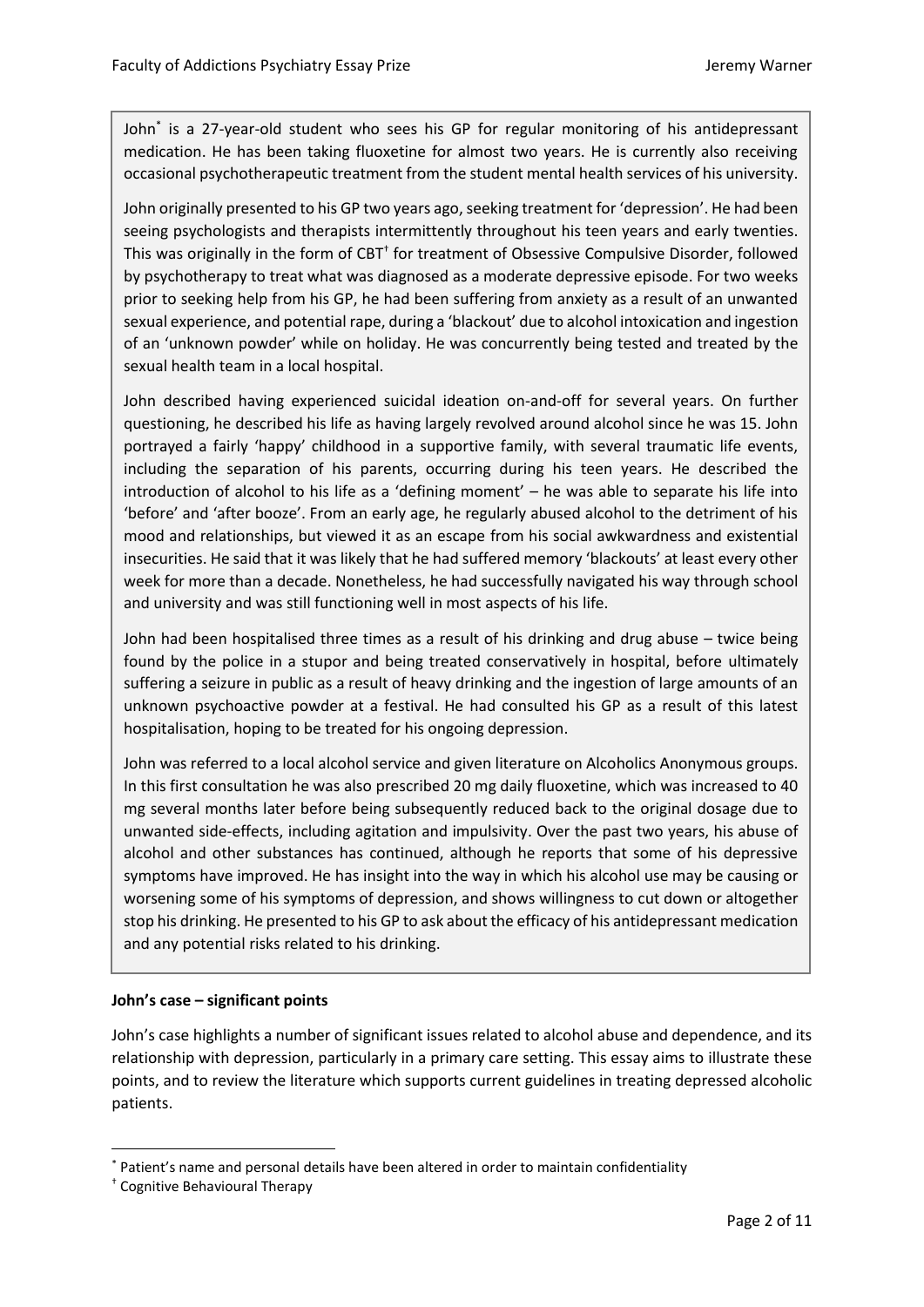John\* is a 27-year-old student who sees his GP for regular monitoring of his antidepressant medication. He has been taking fluoxetine for almost two years. He is currently also receiving occasional psychotherapeutic treatment from the student mental health services of his university.

John originally presented to his GP two years ago, seeking treatment for 'depression'. He had been seeing psychologists and therapists intermittently throughout his teen years and early twenties. This was originally in the form of CBT<sup>+</sup> for treatment of Obsessive Compulsive Disorder, followed by psychotherapy to treat what was diagnosed as a moderate depressive episode. For two weeks prior to seeking help from his GP, he had been suffering from anxiety as a result of an unwanted sexual experience, and potential rape, during a 'blackout' due to alcohol intoxication and ingestion of an 'unknown powder' while on holiday. He was concurrently being tested and treated by the sexual health team in a local hospital.

John described having experienced suicidal ideation on-and-off for several years. On further questioning, he described his life as having largely revolved around alcohol since he was 15. John portrayed a fairly 'happy' childhood in a supportive family, with several traumatic life events, including the separation of his parents, occurring during his teen years. He described the introduction of alcohol to his life as a 'defining moment' – he was able to separate his life into 'before' and 'after booze'. From an early age, he regularly abused alcohol to the detriment of his mood and relationships, but viewed it as an escape from his social awkwardness and existential insecurities. He said that it was likely that he had suffered memory 'blackouts' at least every other week for more than a decade. Nonetheless, he had successfully navigated his way through school and university and was still functioning well in most aspects of his life.

John had been hospitalised three times as a result of his drinking and drug abuse – twice being found by the police in a stupor and being treated conservatively in hospital, before ultimately suffering a seizure in public as a result of heavy drinking and the ingestion of large amounts of an unknown psychoactive powder at a festival. He had consulted his GP as a result of this latest hospitalisation, hoping to be treated for his ongoing depression.

John was referred to a local alcohol service and given literature on Alcoholics Anonymous groups. In this first consultation he was also prescribed 20 mg daily fluoxetine, which was increased to 40 mg several months later before being subsequently reduced back to the original dosage due to unwanted side-effects, including agitation and impulsivity. Over the past two years, his abuse of alcohol and other substances has continued, although he reports that some of his depressive symptoms have improved. He has insight into the way in which his alcohol use may be causing or worsening some of his symptoms of depression, and shows willingness to cut down or altogether stop his drinking. He presented to his GP to ask about the efficacy of his antidepressant medication and any potential risks related to his drinking.

## **John's case – significant points**\***†**

John's case highlights a number of significant issues related to alcohol abuse and dependence, and its relationship with depression, particularly in a primary care setting. This essay aims to illustrate these points, and to review the literature which supports current guidelines in treating depressed alcoholic patients.

1

<sup>\*</sup> Patient's name and personal details have been altered in order to maintain confidentiality

<sup>†</sup> Cognitive Behavioural Therapy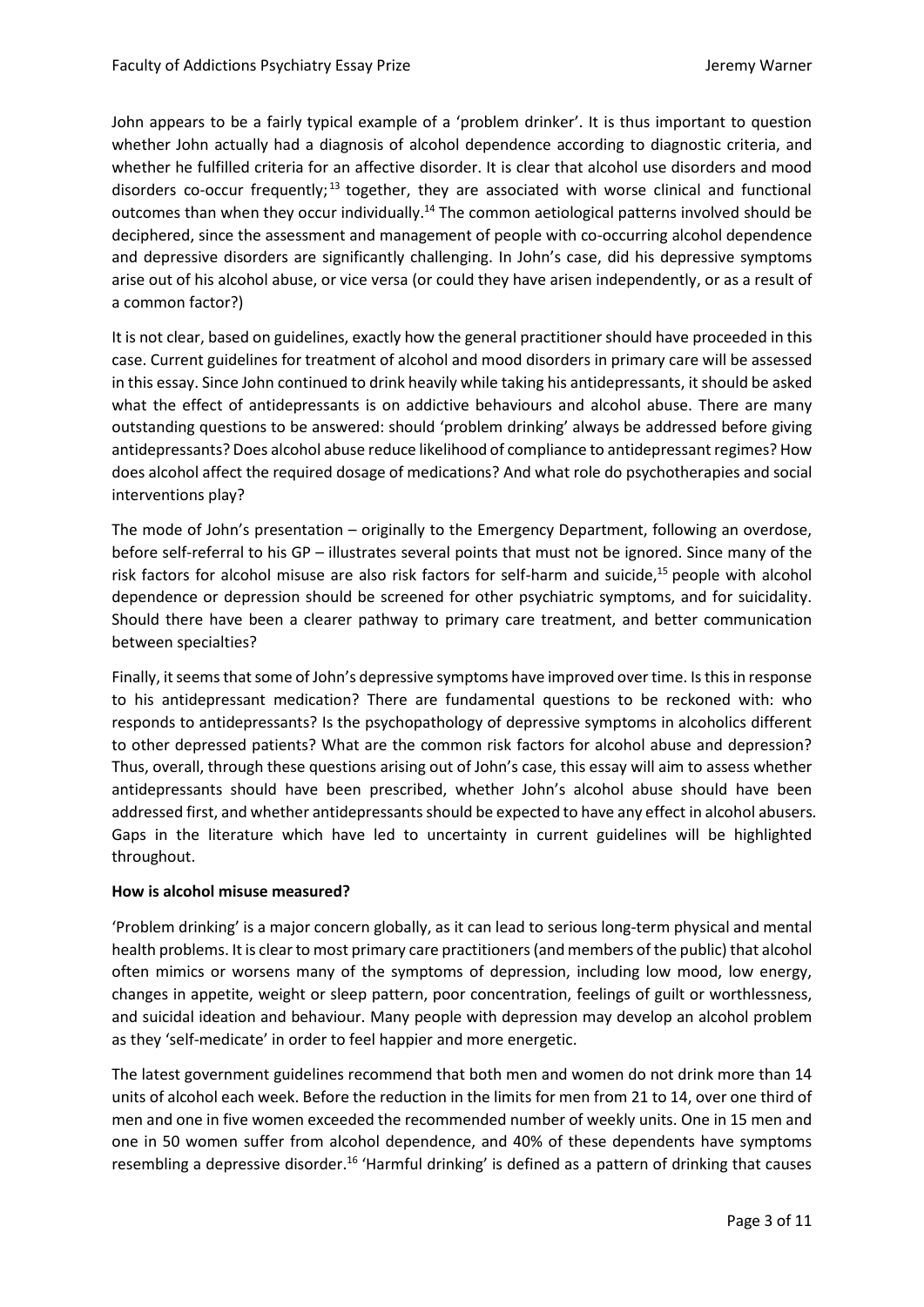John appears to be a fairly typical example of a 'problem drinker'. It is thus important to question whether John actually had a diagnosis of alcohol dependence according to diagnostic criteria, and whether he fulfilled criteria for an affective disorder. It is clear that alcohol use disorders and mood disorders co-occur frequently;<sup>13</sup> together, they are associated with worse clinical and functional outcomes than when they occur individually.<sup>14</sup> The common aetiological patterns involved should be deciphered, since the assessment and management of people with co-occurring alcohol dependence and depressive disorders are significantly challenging. In John's case, did his depressive symptoms arise out of his alcohol abuse, or vice versa (or could they have arisen independently, or as a result of a common factor?)

It is not clear, based on guidelines, exactly how the general practitioner should have proceeded in this case. Current guidelines for treatment of alcohol and mood disorders in primary care will be assessed in this essay. Since John continued to drink heavily while taking his antidepressants, it should be asked what the effect of antidepressants is on addictive behaviours and alcohol abuse. There are many outstanding questions to be answered: should 'problem drinking' always be addressed before giving antidepressants? Does alcohol abuse reduce likelihood of compliance to antidepressant regimes? How does alcohol affect the required dosage of medications? And what role do psychotherapies and social interventions play?

The mode of John's presentation – originally to the Emergency Department, following an overdose, before self-referral to his GP – illustrates several points that must not be ignored. Since many of the risk factors for alcohol misuse are also risk factors for self-harm and suicide, <sup>15</sup> people with alcohol dependence or depression should be screened for other psychiatric symptoms, and for suicidality. Should there have been a clearer pathway to primary care treatment, and better communication between specialties?

Finally, it seems that some of John's depressive symptoms have improved over time. Is this in response to his antidepressant medication? There are fundamental questions to be reckoned with: who responds to antidepressants? Is the psychopathology of depressive symptoms in alcoholics different to other depressed patients? What are the common risk factors for alcohol abuse and depression? Thus, overall, through these questions arising out of John's case, this essay will aim to assess whether antidepressants should have been prescribed, whether John's alcohol abuse should have been addressed first, and whether antidepressants should be expected to have any effect in alcohol abusers. Gaps in the literature which have led to uncertainty in current guidelines will be highlighted throughout.

## **How is alcohol misuse measured?**

'Problem drinking' is a major concern globally, as it can lead to serious long-term physical and mental health problems. It is clear to most primary care practitioners (and members of the public) that alcohol often mimics or worsens many of the symptoms of depression, including low mood, low energy, changes in appetite, weight or sleep pattern, poor concentration, feelings of guilt or worthlessness, and suicidal ideation and behaviour. Many people with depression may develop an alcohol problem as they 'self-medicate' in order to feel happier and more energetic.

The latest government guidelines recommend that both men and women do not drink more than 14 units of alcohol each week. Before the reduction in the limits for men from 21 to 14, over one third of men and one in five women exceeded the recommended number of weekly units. One in 15 men and one in 50 women suffer from alcohol dependence, and 40% of these dependents have symptoms resembling a depressive disorder.<sup>16</sup> 'Harmful drinking' is defined as a pattern of drinking that causes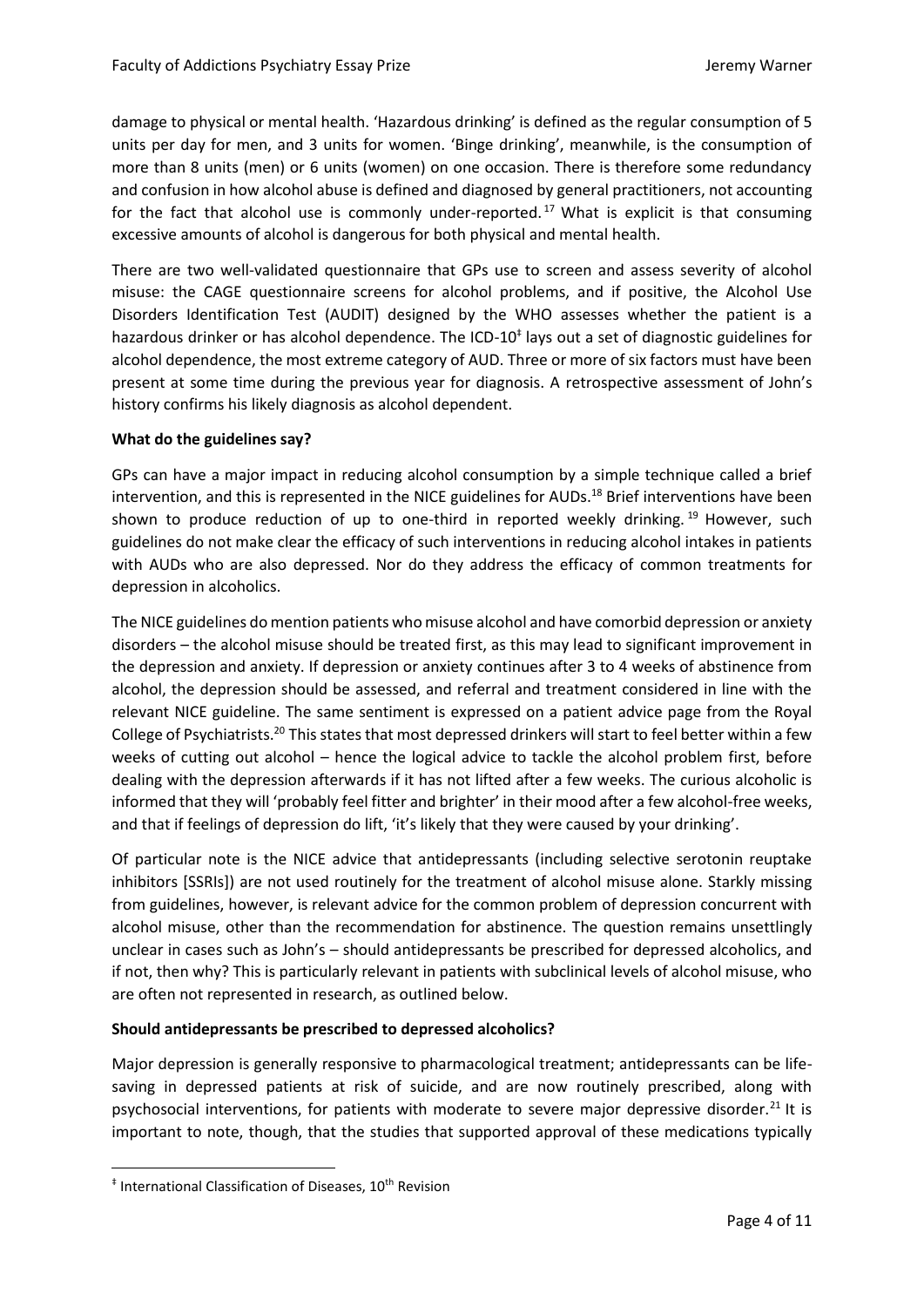damage to physical or mental health. 'Hazardous drinking' is defined as the regular consumption of 5 units per day for men, and 3 units for women. 'Binge drinking', meanwhile, is the consumption of more than 8 units (men) or 6 units (women) on one occasion. There is therefore some redundancy and confusion in how alcohol abuse is defined and diagnosed by general practitioners, not accounting for the fact that alcohol use is commonly under-reported.<sup>17</sup> What is explicit is that consuming excessive amounts of alcohol is dangerous for both physical and mental health.

There are two well-validated questionnaire that GPs use to screen and assess severity of alcohol misuse: the CAGE questionnaire screens for alcohol problems, and if positive, the Alcohol Use Disorders Identification Test (AUDIT) designed by the WHO assesses whether the patient is a hazardous drinker or has alcohol dependence. The ICD-10<sup>‡</sup> lays out a set of diagnostic guidelines for alcohol dependence, the most extreme category of AUD. Three or more of six factors must have been present at some time during the previous year for diagnosis. A retrospective assessment of John's history confirms his likely diagnosis as alcohol dependent.

## **What do the guidelines say?**

GPs can have a major impact in reducing alcohol consumption by a simple technique called a brief intervention, and this is represented in the NICE guidelines for AUDs.<sup>18</sup> Brief interventions have been shown to produce reduction of up to one-third in reported weekly drinking.  $19$  However, such guidelines do not make clear the efficacy of such interventions in reducing alcohol intakes in patients with AUDs who are also depressed. Nor do they address the efficacy of common treatments for depression in alcoholics.

The NICE guidelines do mention patients who misuse alcohol and have comorbid depression or anxiety disorders – the alcohol misuse should be treated first, as this may lead to significant improvement in the depression and anxiety. If depression or anxiety continues after 3 to 4 weeks of abstinence from alcohol, the depression should be assessed, and referral and treatment considered in line with the relevant NICE guideline. The same sentiment is expressed on a patient advice page from the Royal College of Psychiatrists.<sup>20</sup> This states that most depressed drinkers will start to feel better within a few weeks of cutting out alcohol – hence the logical advice to tackle the alcohol problem first, before dealing with the depression afterwards if it has not lifted after a few weeks. The curious alcoholic is informed that they will 'probably feel fitter and brighter' in their mood after a few alcohol-free weeks, and that if feelings of depression do lift, 'it's likely that they were caused by your drinking'.

Of particular note is the NICE advice that antidepressants (including selective serotonin reuptake inhibitors [SSRIs]) are not used routinely for the treatment of alcohol misuse alone. Starkly missing from guidelines, however, is relevant advice for the common problem of depression concurrent with alcohol misuse, other than the recommendation for abstinence. The question remains unsettlingly unclear in cases such as John's – should antidepressants be prescribed for depressed alcoholics, and if not, then why? This is particularly relevant in patients with subclinical levels of alcohol misuse, who are often not represented in research, as outlined below.

## **Should antidepressants be prescribed to depressed alcoholics?**

Major depression is generally responsive to pharmacological treatment; antidepressants can be lifesaving in depressed patients at risk of suicide, and are now routinely prescribed, along with psychosocial interventions, for patients with moderate to severe major depressive disorder.<sup>21</sup> It is important to note, though, that the studies that supported approval of these medications typically

**.** 

<sup>‡</sup> International Classification of Diseases, 10th Revision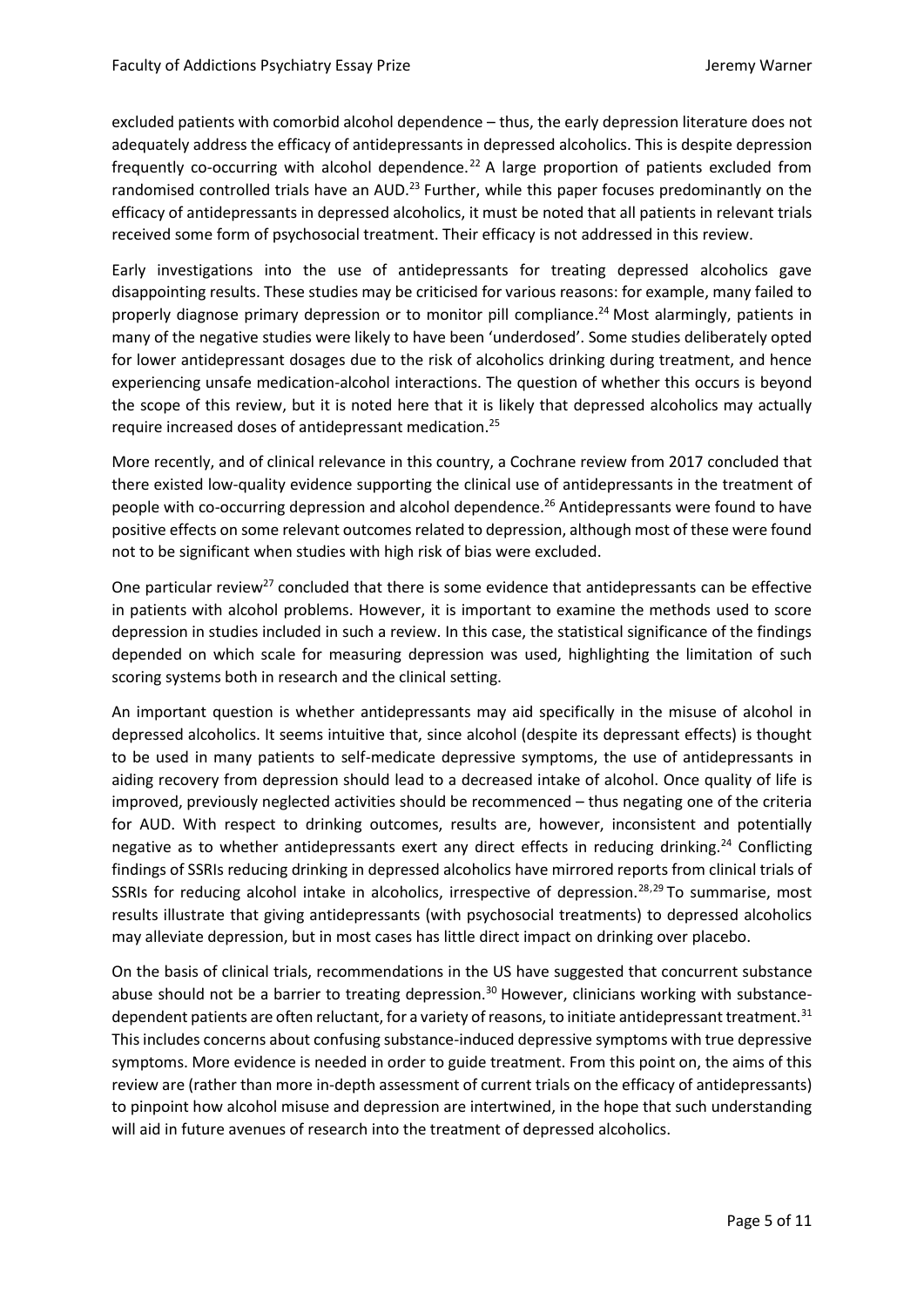excluded patients with comorbid alcohol dependence – thus, the early depression literature does not adequately address the efficacy of antidepressants in depressed alcoholics. This is despite depression frequently co-occurring with alcohol dependence.<sup>22</sup> A large proportion of patients excluded from randomised controlled trials have an AUD.<sup>23</sup> Further, while this paper focuses predominantly on the efficacy of antidepressants in depressed alcoholics, it must be noted that all patients in relevant trials received some form of psychosocial treatment. Their efficacy is not addressed in this review.

Early investigations into the use of antidepressants for treating depressed alcoholics gave disappointing results. These studies may be criticised for various reasons: for example, many failed to properly diagnose primary depression or to monitor pill compliance.<sup>24</sup> Most alarmingly, patients in many of the negative studies were likely to have been 'underdosed'. Some studies deliberately opted for lower antidepressant dosages due to the risk of alcoholics drinking during treatment, and hence experiencing unsafe medication-alcohol interactions. The question of whether this occurs is beyond the scope of this review, but it is noted here that it is likely that depressed alcoholics may actually require increased doses of antidepressant medication.<sup>25</sup>

More recently, and of clinical relevance in this country, a Cochrane review from 2017 concluded that there existed low-quality evidence supporting the clinical use of antidepressants in the treatment of people with co-occurring depression and alcohol dependence.<sup>26</sup> Antidepressants were found to have positive effects on some relevant outcomes related to depression, although most of these were found not to be significant when studies with high risk of bias were excluded.

One particular review<sup>27</sup> concluded that there is some evidence that antidepressants can be effective in patients with alcohol problems. However, it is important to examine the methods used to score depression in studies included in such a review. In this case, the statistical significance of the findings depended on which scale for measuring depression was used, highlighting the limitation of such scoring systems both in research and the clinical setting.

An important question is whether antidepressants may aid specifically in the misuse of alcohol in depressed alcoholics. It seems intuitive that, since alcohol (despite its depressant effects) is thought to be used in many patients to self-medicate depressive symptoms, the use of antidepressants in aiding recovery from depression should lead to a decreased intake of alcohol. Once quality of life is improved, previously neglected activities should be recommenced – thus negating one of the criteria for AUD. With respect to drinking outcomes, results are, however, inconsistent and potentially negative as to whether antidepressants exert any direct effects in reducing drinking.<sup>24</sup> Conflicting findings of SSRIs reducing drinking in depressed alcoholics have mirrored reports from clinical trials of SSRIs for reducing alcohol intake in alcoholics, irrespective of depression.<sup>28,29</sup> To summarise, most results illustrate that giving antidepressants (with psychosocial treatments) to depressed alcoholics may alleviate depression, but in most cases has little direct impact on drinking over placebo.

On the basis of clinical trials, recommendations in the US have suggested that concurrent substance abuse should not be a barrier to treating depression.<sup>30</sup> However, clinicians working with substancedependent patients are often reluctant, for a variety of reasons, to initiate antidepressant treatment.<sup>31</sup> Thisincludes concerns about confusing substance-induced depressive symptoms with true depressive symptoms. More evidence is needed in order to guide treatment. From this point on, the aims of this review are (rather than more in-depth assessment of current trials on the efficacy of antidepressants) to pinpoint how alcohol misuse and depression are intertwined, in the hope that such understanding will aid in future avenues of research into the treatment of depressed alcoholics.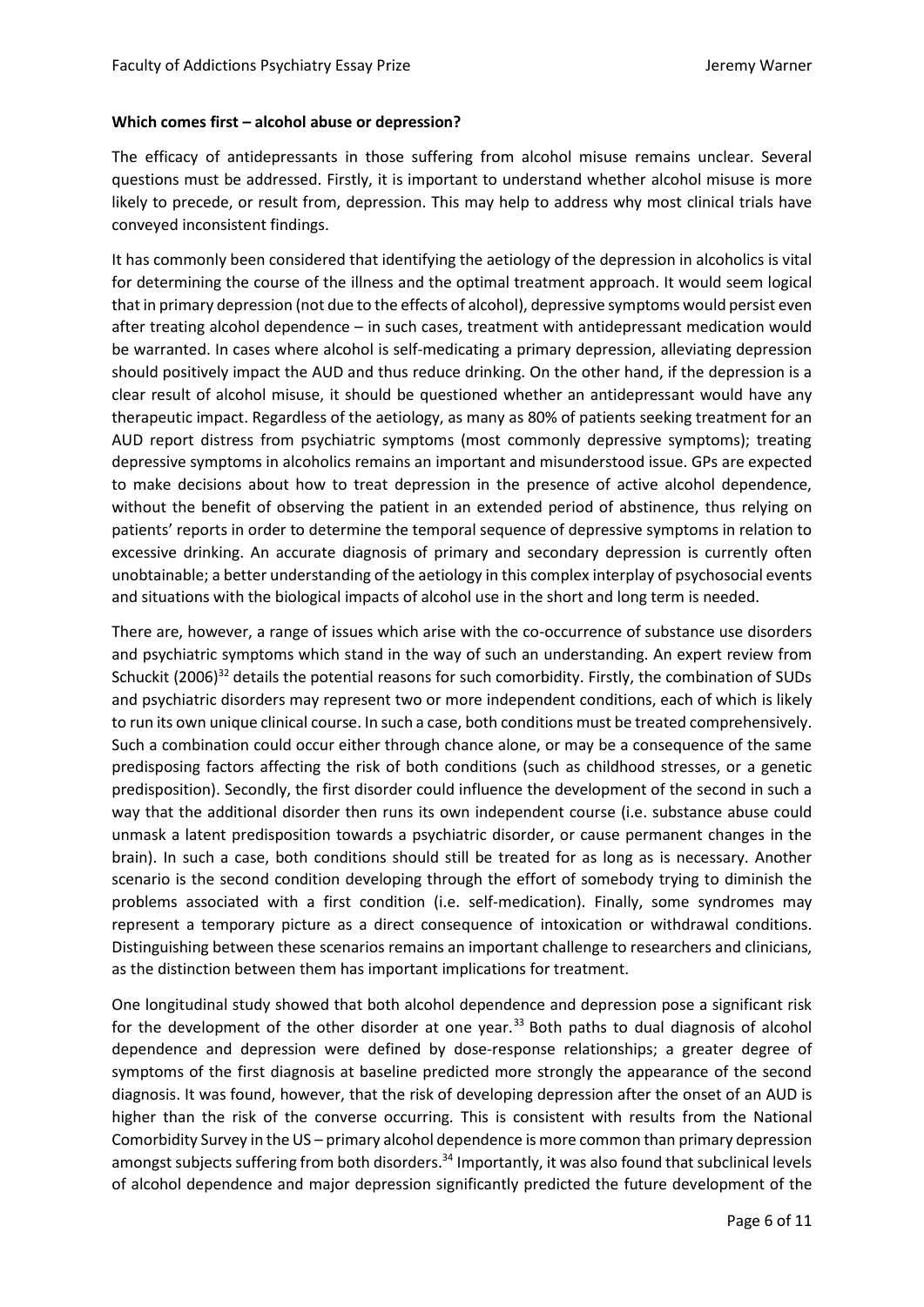#### **Which comes first – alcohol abuse or depression?**

The efficacy of antidepressants in those suffering from alcohol misuse remains unclear. Several questions must be addressed. Firstly, it is important to understand whether alcohol misuse is more likely to precede, or result from, depression. This may help to address why most clinical trials have conveyed inconsistent findings.

It has commonly been considered that identifying the aetiology of the depression in alcoholics is vital for determining the course of the illness and the optimal treatment approach. It would seem logical that in primary depression (not due to the effects of alcohol), depressive symptoms would persist even after treating alcohol dependence – in such cases, treatment with antidepressant medication would be warranted. In cases where alcohol is self-medicating a primary depression, alleviating depression should positively impact the AUD and thus reduce drinking. On the other hand, if the depression is a clear result of alcohol misuse, it should be questioned whether an antidepressant would have any therapeutic impact. Regardless of the aetiology, as many as 80% of patients seeking treatment for an AUD report distress from psychiatric symptoms (most commonly depressive symptoms); treating depressive symptoms in alcoholics remains an important and misunderstood issue. GPs are expected to make decisions about how to treat depression in the presence of active alcohol dependence, without the benefit of observing the patient in an extended period of abstinence, thus relying on patients' reports in order to determine the temporal sequence of depressive symptoms in relation to excessive drinking. An accurate diagnosis of primary and secondary depression is currently often unobtainable; a better understanding of the aetiology in this complex interplay of psychosocial events and situations with the biological impacts of alcohol use in the short and long term is needed.

There are, however, a range of issues which arise with the co-occurrence of substance use disorders and psychiatric symptoms which stand in the way of such an understanding. An expert review from Schuckit (2006)<sup>32</sup> details the potential reasons for such comorbidity. Firstly, the combination of SUDs and psychiatric disorders may represent two or more independent conditions, each of which is likely to run its own unique clinical course. In such a case, both conditions must be treated comprehensively. Such a combination could occur either through chance alone, or may be a consequence of the same predisposing factors affecting the risk of both conditions (such as childhood stresses, or a genetic predisposition). Secondly, the first disorder could influence the development of the second in such a way that the additional disorder then runs its own independent course (i.e. substance abuse could unmask a latent predisposition towards a psychiatric disorder, or cause permanent changes in the brain). In such a case, both conditions should still be treated for as long as is necessary. Another scenario is the second condition developing through the effort of somebody trying to diminish the problems associated with a first condition (i.e. self-medication). Finally, some syndromes may represent a temporary picture as a direct consequence of intoxication or withdrawal conditions. Distinguishing between these scenarios remains an important challenge to researchers and clinicians, as the distinction between them has important implications for treatment.

One longitudinal study showed that both alcohol dependence and depression pose a significant risk for the development of the other disorder at one year. $33$  Both paths to dual diagnosis of alcohol dependence and depression were defined by dose-response relationships; a greater degree of symptoms of the first diagnosis at baseline predicted more strongly the appearance of the second diagnosis. It was found, however, that the risk of developing depression after the onset of an AUD is higher than the risk of the converse occurring. This is consistent with results from the National Comorbidity Survey in the US – primary alcohol dependence is more common than primary depression amongst subjects suffering from both disorders.<sup>34</sup> Importantly, it was also found that subclinical levels of alcohol dependence and major depression significantly predicted the future development of the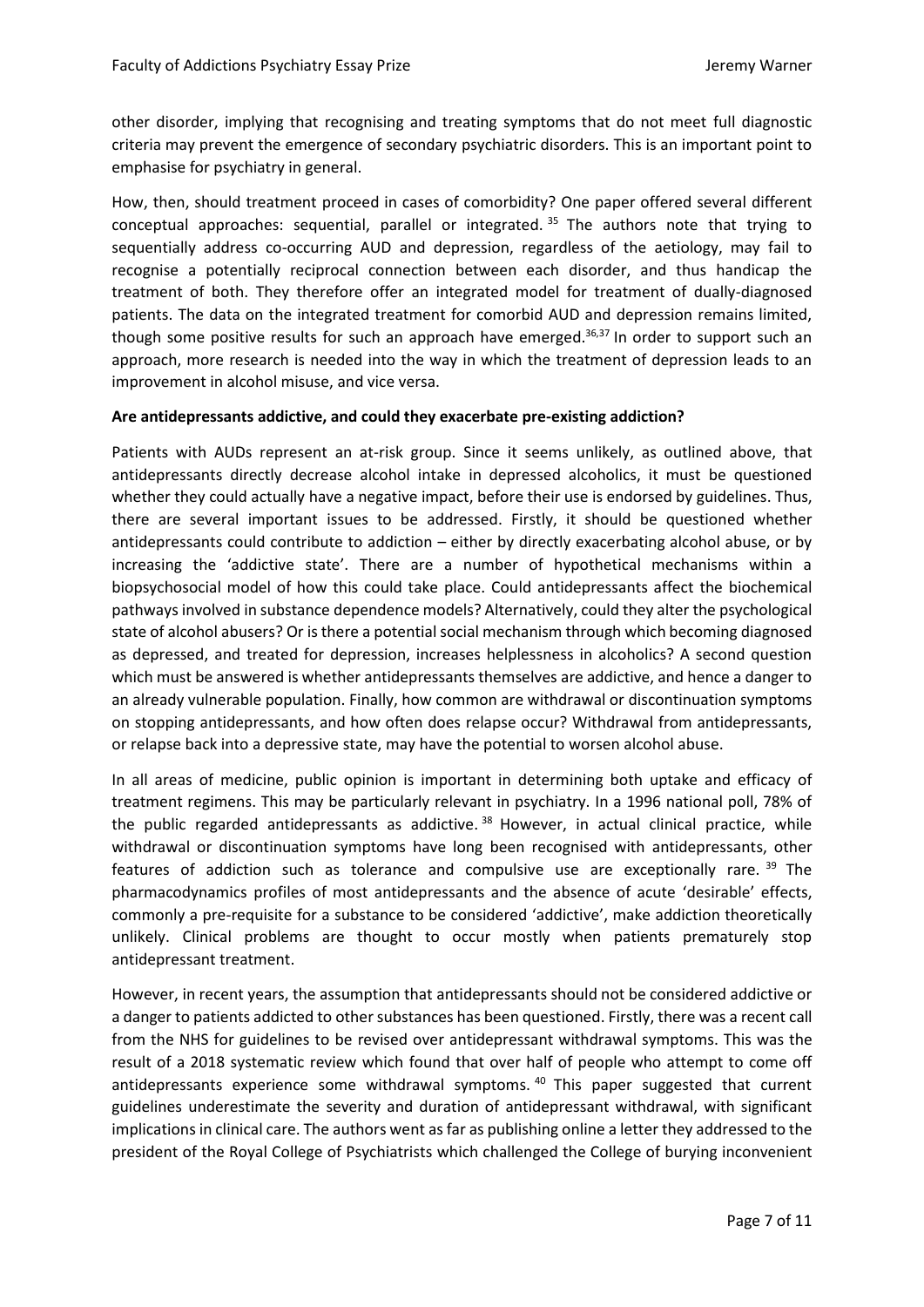other disorder, implying that recognising and treating symptoms that do not meet full diagnostic criteria may prevent the emergence of secondary psychiatric disorders. This is an important point to emphasise for psychiatry in general.

How, then, should treatment proceed in cases of comorbidity? One paper offered several different conceptual approaches: sequential, parallel or integrated.<sup>35</sup> The authors note that trying to sequentially address co-occurring AUD and depression, regardless of the aetiology, may fail to recognise a potentially reciprocal connection between each disorder, and thus handicap the treatment of both. They therefore offer an integrated model for treatment of dually-diagnosed patients. The data on the integrated treatment for comorbid AUD and depression remains limited, though some positive results for such an approach have emerged.<sup>36,37</sup> In order to support such an approach, more research is needed into the way in which the treatment of depression leads to an improvement in alcohol misuse, and vice versa.

#### **Are antidepressants addictive, and could they exacerbate pre-existing addiction?**

Patients with AUDs represent an at-risk group. Since it seems unlikely, as outlined above, that antidepressants directly decrease alcohol intake in depressed alcoholics, it must be questioned whether they could actually have a negative impact, before their use is endorsed by guidelines. Thus, there are several important issues to be addressed. Firstly, it should be questioned whether antidepressants could contribute to addiction – either by directly exacerbating alcohol abuse, or by increasing the 'addictive state'. There are a number of hypothetical mechanisms within a biopsychosocial model of how this could take place. Could antidepressants affect the biochemical pathways involved in substance dependence models? Alternatively, could they alter the psychological state of alcohol abusers? Or is there a potential social mechanism through which becoming diagnosed as depressed, and treated for depression, increases helplessness in alcoholics? A second question which must be answered is whether antidepressants themselves are addictive, and hence a danger to an already vulnerable population. Finally, how common are withdrawal or discontinuation symptoms on stopping antidepressants, and how often does relapse occur? Withdrawal from antidepressants, or relapse back into a depressive state, may have the potential to worsen alcohol abuse.

In all areas of medicine, public opinion is important in determining both uptake and efficacy of treatment regimens. This may be particularly relevant in psychiatry. In a 1996 national poll, 78% of the public regarded antidepressants as addictive.<sup>38</sup> However, in actual clinical practice, while withdrawal or discontinuation symptoms have long been recognised with antidepressants, other features of addiction such as tolerance and compulsive use are exceptionally rare. <sup>39</sup> The pharmacodynamics profiles of most antidepressants and the absence of acute 'desirable' effects, commonly a pre-requisite for a substance to be considered 'addictive', make addiction theoretically unlikely. Clinical problems are thought to occur mostly when patients prematurely stop antidepressant treatment.

However, in recent years, the assumption that antidepressants should not be considered addictive or a danger to patients addicted to other substances has been questioned. Firstly, there was a recent call from the NHS for guidelines to be revised over antidepressant withdrawal symptoms. This was the result of a 2018 systematic review which found that over half of people who attempt to come off antidepressants experience some withdrawal symptoms. <sup>40</sup> This paper suggested that current guidelines underestimate the severity and duration of antidepressant withdrawal, with significant implications in clinical care. The authors went as far as publishing online a letter they addressed to the president of the Royal College of Psychiatrists which challenged the College of burying inconvenient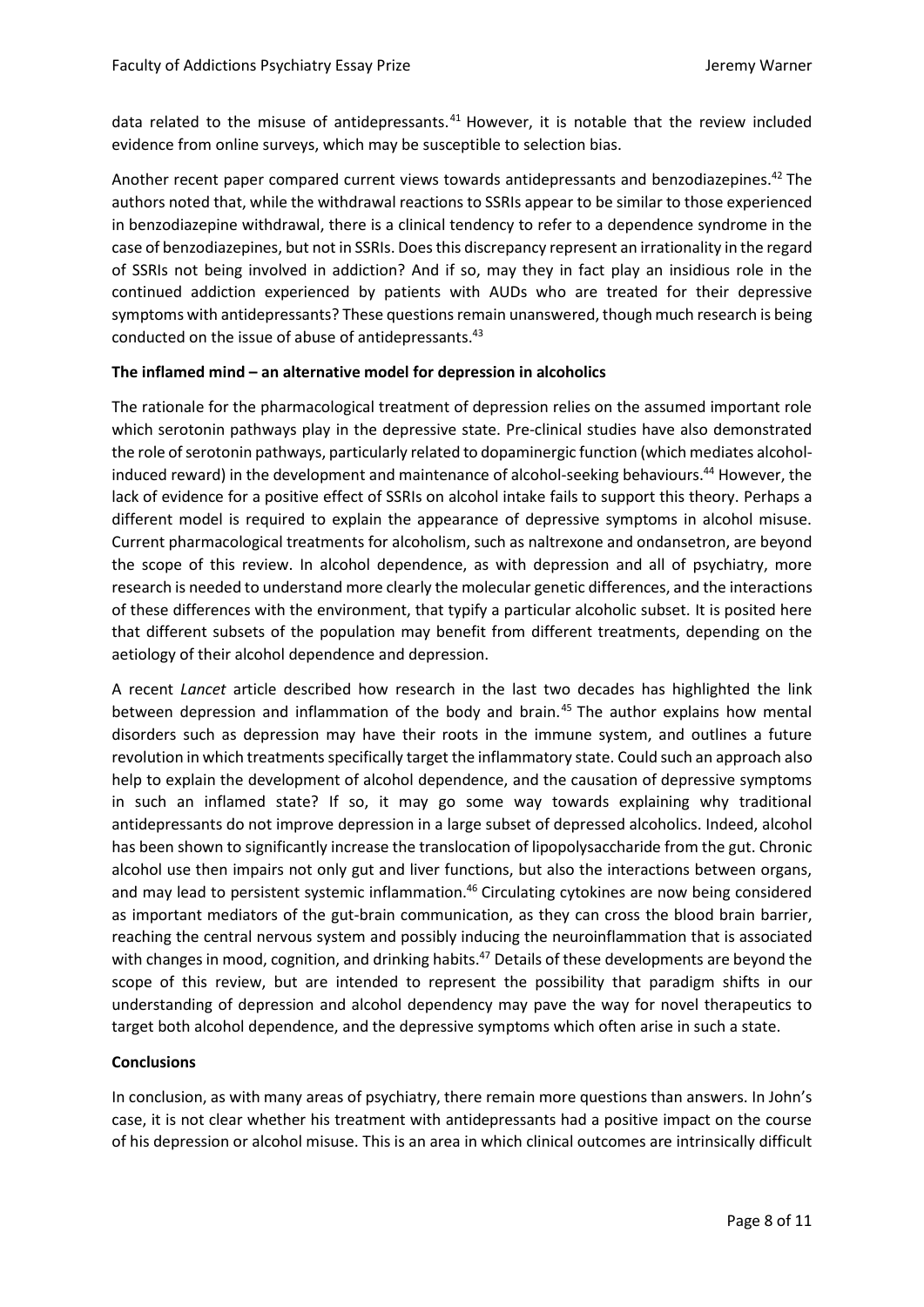data related to the misuse of antidepressants.<sup>41</sup> However, it is notable that the review included evidence from online surveys, which may be susceptible to selection bias.

Another recent paper compared current views towards antidepressants and benzodiazepines.<sup>42</sup> The authors noted that, while the withdrawal reactions to SSRIs appear to be similar to those experienced in benzodiazepine withdrawal, there is a clinical tendency to refer to a dependence syndrome in the case of benzodiazepines, but not in SSRIs. Doesthis discrepancy represent an irrationality in the regard of SSRIs not being involved in addiction? And if so, may they in fact play an insidious role in the continued addiction experienced by patients with AUDs who are treated for their depressive symptoms with antidepressants? These questions remain unanswered, though much research is being conducted on the issue of abuse of antidepressants.<sup>43</sup>

## **The inflamed mind – an alternative model for depression in alcoholics**

The rationale for the pharmacological treatment of depression relies on the assumed important role which serotonin pathways play in the depressive state. Pre-clinical studies have also demonstrated the role of serotonin pathways, particularly related to dopaminergic function (which mediates alcoholinduced reward) in the development and maintenance of alcohol-seeking behaviours.<sup>44</sup> However, the lack of evidence for a positive effect of SSRIs on alcohol intake fails to support this theory. Perhaps a different model is required to explain the appearance of depressive symptoms in alcohol misuse. Current pharmacological treatments for alcoholism, such as naltrexone and ondansetron, are beyond the scope of this review. In alcohol dependence, as with depression and all of psychiatry, more research is needed to understand more clearly the molecular genetic differences, and the interactions of these differences with the environment, that typify a particular alcoholic subset. It is posited here that different subsets of the population may benefit from different treatments, depending on the aetiology of their alcohol dependence and depression.

A recent *Lancet* article described how research in the last two decades has highlighted the link between depression and inflammation of the body and brain.<sup>45</sup> The author explains how mental disorders such as depression may have their roots in the immune system, and outlines a future revolution in which treatments specifically target the inflammatory state. Could such an approach also help to explain the development of alcohol dependence, and the causation of depressive symptoms in such an inflamed state? If so, it may go some way towards explaining why traditional antidepressants do not improve depression in a large subset of depressed alcoholics. Indeed, alcohol has been shown to significantly increase the translocation of lipopolysaccharide from the gut. Chronic alcohol use then impairs not only gut and liver functions, but also the interactions between organs, and may lead to persistent systemic inflammation.<sup>46</sup> Circulating cytokines are now being considered as important mediators of the gut-brain communication, as they can cross the blood brain barrier, reaching the central nervous system and possibly inducing the neuroinflammation that is associated with changes in mood, cognition, and drinking habits.<sup>47</sup> Details of these developments are beyond the scope of this review, but are intended to represent the possibility that paradigm shifts in our understanding of depression and alcohol dependency may pave the way for novel therapeutics to target both alcohol dependence, and the depressive symptoms which often arise in such a state.

## **Conclusions**

In conclusion, as with many areas of psychiatry, there remain more questions than answers. In John's case, it is not clear whether his treatment with antidepressants had a positive impact on the course of his depression or alcohol misuse. This is an area in which clinical outcomes are intrinsically difficult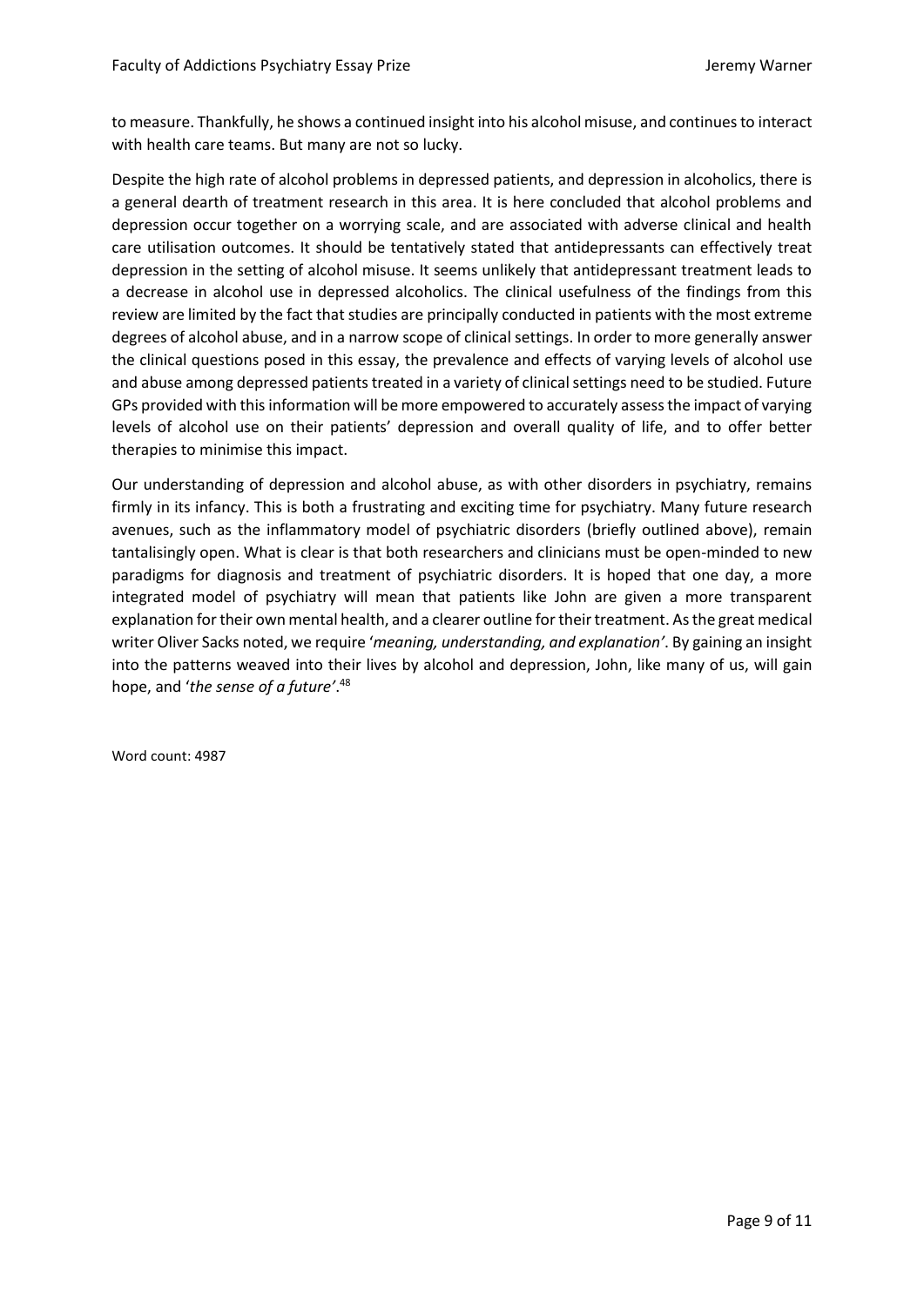to measure. Thankfully, he shows a continued insight into his alcohol misuse, and continues to interact with health care teams. But many are not so lucky.

Despite the high rate of alcohol problems in depressed patients, and depression in alcoholics, there is a general dearth of treatment research in this area. It is here concluded that alcohol problems and depression occur together on a worrying scale, and are associated with adverse clinical and health care utilisation outcomes. It should be tentatively stated that antidepressants can effectively treat depression in the setting of alcohol misuse. It seems unlikely that antidepressant treatment leads to a decrease in alcohol use in depressed alcoholics. The clinical usefulness of the findings from this review are limited by the fact that studies are principally conducted in patients with the most extreme degrees of alcohol abuse, and in a narrow scope of clinical settings. In order to more generally answer the clinical questions posed in this essay, the prevalence and effects of varying levels of alcohol use and abuse among depressed patients treated in a variety of clinical settings need to be studied. Future GPs provided with this information will be more empowered to accurately assess the impact of varying levels of alcohol use on their patients' depression and overall quality of life, and to offer better therapies to minimise this impact.

Our understanding of depression and alcohol abuse, as with other disorders in psychiatry, remains firmly in its infancy. This is both a frustrating and exciting time for psychiatry. Many future research avenues, such as the inflammatory model of psychiatric disorders (briefly outlined above), remain tantalisingly open. What is clear is that both researchers and clinicians must be open-minded to new paradigms for diagnosis and treatment of psychiatric disorders. It is hoped that one day, a more integrated model of psychiatry will mean that patients like John are given a more transparent explanation for their own mental health, and a clearer outline for their treatment. As the great medical writer Oliver Sacks noted, we require '*meaning, understanding, and explanation'*. By gaining an insight into the patterns weaved into their lives by alcohol and depression, John, like many of us, will gain hope, and '*the sense of a future'*. 48

Word count: 4987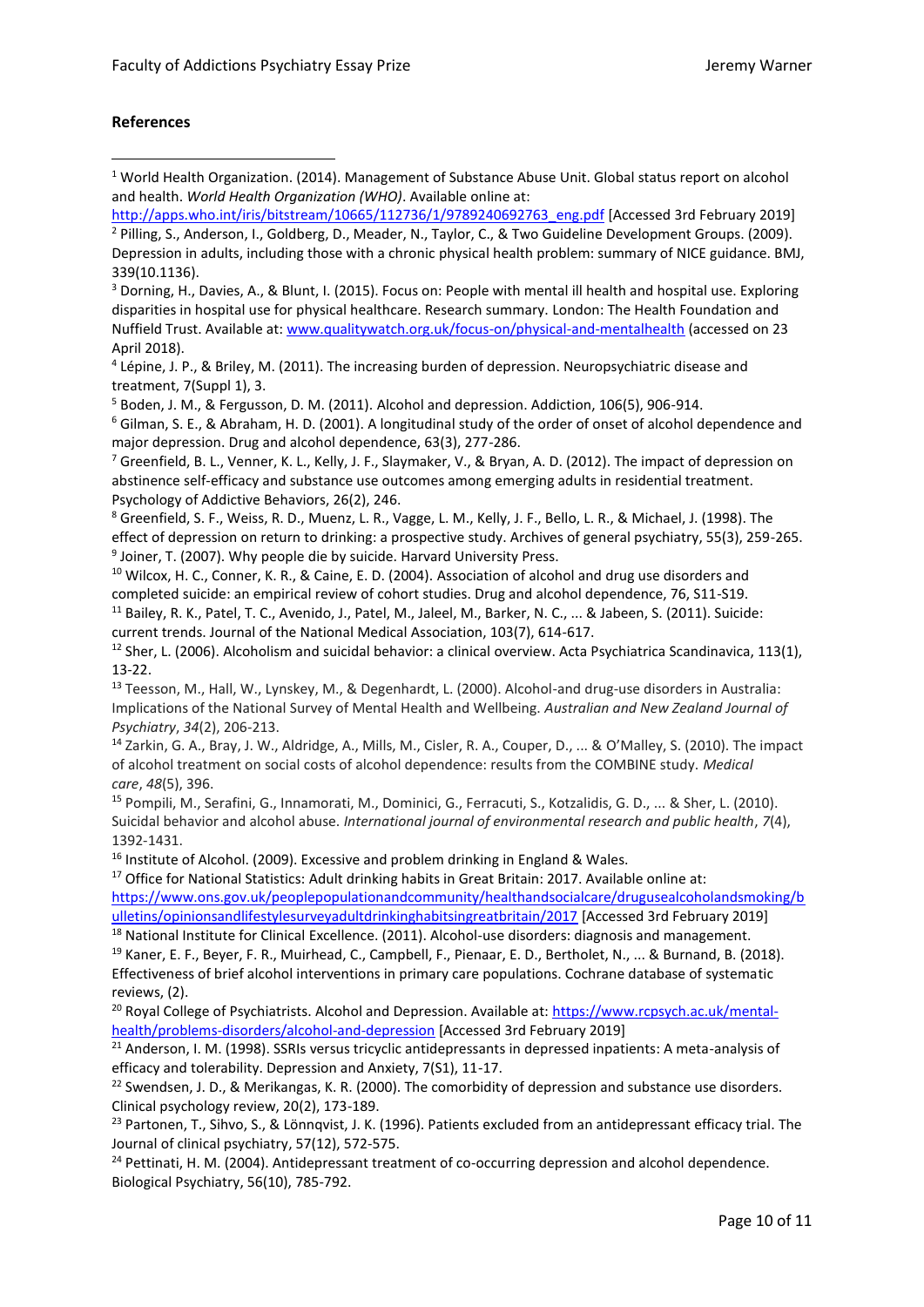## **References**

1

<sup>3</sup> Dorning, H., Davies, A., & Blunt, I. (2015). Focus on: People with mental ill health and hospital use. Exploring disparities in hospital use for physical healthcare. Research summary. London: The Health Foundation and Nuffield Trust. Available at:<www.qualitywatch.org.uk/focus-on/physical-and-mentalhealth> (accessed on 23 April 2018).

<sup>4</sup> Lépine, J. P., & Briley, M. (2011). The increasing burden of depression. Neuropsychiatric disease and treatment, 7(Suppl 1), 3.

<sup>5</sup> Boden, J. M., & Fergusson, D. M. (2011). Alcohol and depression. Addiction, 106(5), 906-914.

<sup>6</sup> Gilman, S. E., & Abraham, H. D. (2001). A longitudinal study of the order of onset of alcohol dependence and major depression. Drug and alcohol dependence, 63(3), 277-286.

<sup>7</sup> Greenfield, B. L., Venner, K. L., Kelly, J. F., Slaymaker, V., & Bryan, A. D. (2012). The impact of depression on abstinence self-efficacy and substance use outcomes among emerging adults in residential treatment. Psychology of Addictive Behaviors, 26(2), 246.

<sup>8</sup> Greenfield, S. F., Weiss, R. D., Muenz, L. R., Vagge, L. M., Kelly, J. F., Bello, L. R., & Michael, J. (1998). The effect of depression on return to drinking: a prospective study. Archives of general psychiatry, 55(3), 259-265. <sup>9</sup> Joiner, T. (2007). Why people die by suicide. Harvard University Press.

<sup>10</sup> Wilcox, H. C., Conner, K. R., & Caine, E. D. (2004). Association of alcohol and drug use disorders and completed suicide: an empirical review of cohort studies. Drug and alcohol dependence, 76, S11-S19. <sup>11</sup> Bailey, R. K., Patel, T. C., Avenido, J., Patel, M., Jaleel, M., Barker, N. C., ... & Jabeen, S. (2011). Suicide: current trends. Journal of the National Medical Association, 103(7), 614-617.

 $12$  Sher, L. (2006). Alcoholism and suicidal behavior: a clinical overview. Acta Psychiatrica Scandinavica, 113(1), 13-22.

<sup>13</sup> Teesson, M., Hall, W., Lynskey, M., & Degenhardt, L. (2000). Alcohol-and drug-use disorders in Australia: Implications of the National Survey of Mental Health and Wellbeing. *Australian and New Zealand Journal of Psychiatry*, *34*(2), 206-213.

<sup>14</sup> Zarkin, G. A., Bray, J. W., Aldridge, A., Mills, M., Cisler, R. A., Couper, D., ... & O'Malley, S. (2010). The impact of alcohol treatment on social costs of alcohol dependence: results from the COMBINE study. *Medical care*, *48*(5), 396.

<sup>15</sup> Pompili, M., Serafini, G., Innamorati, M., Dominici, G., Ferracuti, S., Kotzalidis, G. D., ... & Sher, L. (2010). Suicidal behavior and alcohol abuse. *International journal of environmental research and public health*, *7*(4), 1392-1431.

<sup>16</sup> Institute of Alcohol. (2009). Excessive and problem drinking in England & Wales.

<sup>17</sup> Office for National Statistics: Adult drinking habits in Great Britain: 2017. Available online at:

[https://www.ons.gov.uk/peoplepopulationandcommunity/healthandsocialcare/drugusealcoholandsmoking/b](https://www.ons.gov.uk/peoplepopulationandcommunity/healthandsocialcare/drugusealcoholandsmoking/bulletins/opinionsandlifestylesurveyadultdrinkinghabitsingreatbritain/2017) [ulletins/opinionsandlifestylesurveyadultdrinkinghabitsingreatbritain/2017](https://www.ons.gov.uk/peoplepopulationandcommunity/healthandsocialcare/drugusealcoholandsmoking/bulletins/opinionsandlifestylesurveyadultdrinkinghabitsingreatbritain/2017) [Accessed 3rd February 2019]

<sup>18</sup> National Institute for Clinical Excellence. (2011). Alcohol-use disorders: diagnosis and management. <sup>19</sup> Kaner, E. F., Beyer, F. R., Muirhead, C., Campbell, F., Pienaar, E. D., Bertholet, N., ... & Burnand, B. (2018). Effectiveness of brief alcohol interventions in primary care populations. Cochrane database of systematic reviews, (2).

<sup>20</sup> Royal College of Psychiatrists. Alcohol and Depression. Available at: [https://www.rcpsych.ac.uk/mental](https://www.rcpsych.ac.uk/mental-health/problems-disorders/alcohol-and-depression)[health/problems-disorders/alcohol-and-depression](https://www.rcpsych.ac.uk/mental-health/problems-disorders/alcohol-and-depression) [Accessed 3rd February 2019]

<sup>21</sup> Anderson, I. M. (1998). SSRIs versus tricyclic antidepressants in depressed inpatients: A meta-analysis of efficacy and tolerability. Depression and Anxiety, 7(S1), 11-17.

 $^{22}$  Swendsen, J. D., & Merikangas, K. R. (2000). The comorbidity of depression and substance use disorders. Clinical psychology review, 20(2), 173-189.

<sup>23</sup> Partonen, T., Sihvo, S., & Lönnqvist, J. K. (1996). Patients excluded from an antidepressant efficacy trial. The Journal of clinical psychiatry, 57(12), 572-575.

<sup>24</sup> Pettinati, H. M. (2004). Antidepressant treatment of co-occurring depression and alcohol dependence. Biological Psychiatry, 56(10), 785-792.

<sup>&</sup>lt;sup>1</sup> World Health Organization. (2014). Management of Substance Abuse Unit. Global status report on alcohol and health. *World Health Organization (WHO)*. Available online at:

[http://apps.who.int/iris/bitstream/10665/112736/1/9789240692763\\_eng.pdf](http://apps.who.int/iris/bitstream/10665/112736/1/9789240692763_eng.pdf) [Accessed 3rd February 2019] <sup>2</sup> Pilling, S., Anderson, I., Goldberg, D., Meader, N., Taylor, C., & Two Guideline Development Groups. (2009). Depression in adults, including those with a chronic physical health problem: summary of NICE guidance. BMJ, 339(10.1136).